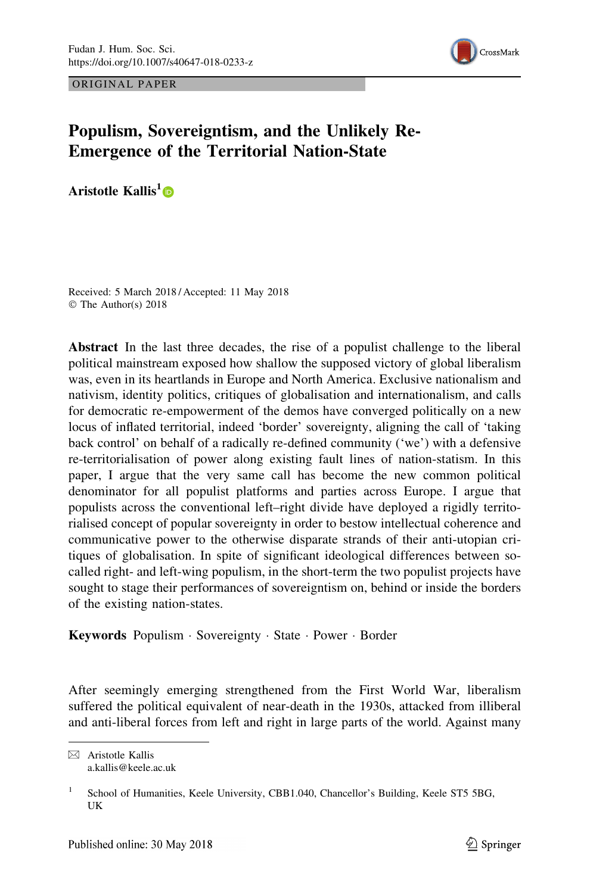ORIGINAL PAPER



# Populism, Sovereigntism, and the Unlikely Re-Emergence of the Territorial Nation-State

Aristotle Kallis<sup>1</sup>®

Received: 5 March 2018 / Accepted: 11 May 2018 © The Author(s) 2018

Abstract In the last three decades, the rise of a populist challenge to the liberal political mainstream exposed how shallow the supposed victory of global liberalism was, even in its heartlands in Europe and North America. Exclusive nationalism and nativism, identity politics, critiques of globalisation and internationalism, and calls for democratic re-empowerment of the demos have converged politically on a new locus of inflated territorial, indeed 'border' sovereignty, aligning the call of 'taking back control' on behalf of a radically re-defined community ('we') with a defensive re-territorialisation of power along existing fault lines of nation-statism. In this paper, I argue that the very same call has become the new common political denominator for all populist platforms and parties across Europe. I argue that populists across the conventional left–right divide have deployed a rigidly territorialised concept of popular sovereignty in order to bestow intellectual coherence and communicative power to the otherwise disparate strands of their anti-utopian critiques of globalisation. In spite of significant ideological differences between socalled right- and left-wing populism, in the short-term the two populist projects have sought to stage their performances of sovereigntism on, behind or inside the borders of the existing nation-states.

Keywords Populism - Sovereignty - State - Power - Border

After seemingly emerging strengthened from the First World War, liberalism suffered the political equivalent of near-death in the 1930s, attacked from illiberal and anti-liberal forces from left and right in large parts of the world. Against many

 $\boxtimes$  Aristotle Kallis a.kallis@keele.ac.uk

<sup>&</sup>lt;sup>1</sup> School of Humanities, Keele University, CBB1.040, Chancellor's Building, Keele ST5 5BG, UK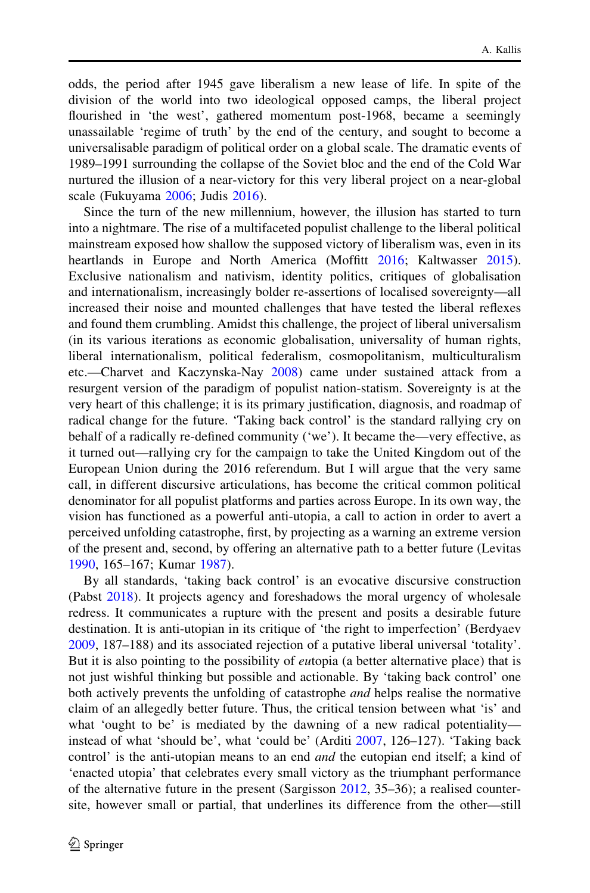odds, the period after 1945 gave liberalism a new lease of life. In spite of the division of the world into two ideological opposed camps, the liberal project flourished in 'the west', gathered momentum post-1968, became a seemingly unassailable 'regime of truth' by the end of the century, and sought to become a universalisable paradigm of political order on a global scale. The dramatic events of 1989–1991 surrounding the collapse of the Soviet bloc and the end of the Cold War nurtured the illusion of a near-victory for this very liberal project on a near-global scale (Fukuyama [2006](#page-15-0); Judis [2016](#page-16-0)).

Since the turn of the new millennium, however, the illusion has started to turn into a nightmare. The rise of a multifaceted populist challenge to the liberal political mainstream exposed how shallow the supposed victory of liberalism was, even in its heartlands in Europe and North America (Moffitt [2016](#page-16-0); Kaltwasser [2015\)](#page-16-0). Exclusive nationalism and nativism, identity politics, critiques of globalisation and internationalism, increasingly bolder re-assertions of localised sovereignty—all increased their noise and mounted challenges that have tested the liberal reflexes and found them crumbling. Amidst this challenge, the project of liberal universalism (in its various iterations as economic globalisation, universality of human rights, liberal internationalism, political federalism, cosmopolitanism, multiculturalism etc.—Charvet and Kaczynska-Nay [2008](#page-15-0)) came under sustained attack from a resurgent version of the paradigm of populist nation-statism. Sovereignty is at the very heart of this challenge; it is its primary justification, diagnosis, and roadmap of radical change for the future. 'Taking back control' is the standard rallying cry on behalf of a radically re-defined community ('we'). It became the—very effective, as it turned out—rallying cry for the campaign to take the United Kingdom out of the European Union during the 2016 referendum. But I will argue that the very same call, in different discursive articulations, has become the critical common political denominator for all populist platforms and parties across Europe. In its own way, the vision has functioned as a powerful anti-utopia, a call to action in order to avert a perceived unfolding catastrophe, first, by projecting as a warning an extreme version of the present and, second, by offering an alternative path to a better future (Levitas [1990,](#page-16-0) 165–167; Kumar [1987\)](#page-16-0).

By all standards, 'taking back control' is an evocative discursive construction (Pabst [2018](#page-16-0)). It projects agency and foreshadows the moral urgency of wholesale redress. It communicates a rupture with the present and posits a desirable future destination. It is anti-utopian in its critique of 'the right to imperfection' (Berdyaev [2009,](#page-15-0) 187–188) and its associated rejection of a putative liberal universal 'totality'. But it is also pointing to the possibility of *eutopia* (a better alternative place) that is not just wishful thinking but possible and actionable. By 'taking back control' one both actively prevents the unfolding of catastrophe *and* helps realise the normative claim of an allegedly better future. Thus, the critical tension between what 'is' and what 'ought to be' is mediated by the dawning of a new radical potentiality instead of what 'should be', what 'could be' (Arditi [2007](#page-14-0), 126–127). 'Taking back control' is the anti-utopian means to an end *and* the eutopian end itself; a kind of 'enacted utopia' that celebrates every small victory as the triumphant performance of the alternative future in the present (Sargisson [2012](#page-17-0), 35–36); a realised countersite, however small or partial, that underlines its difference from the other—still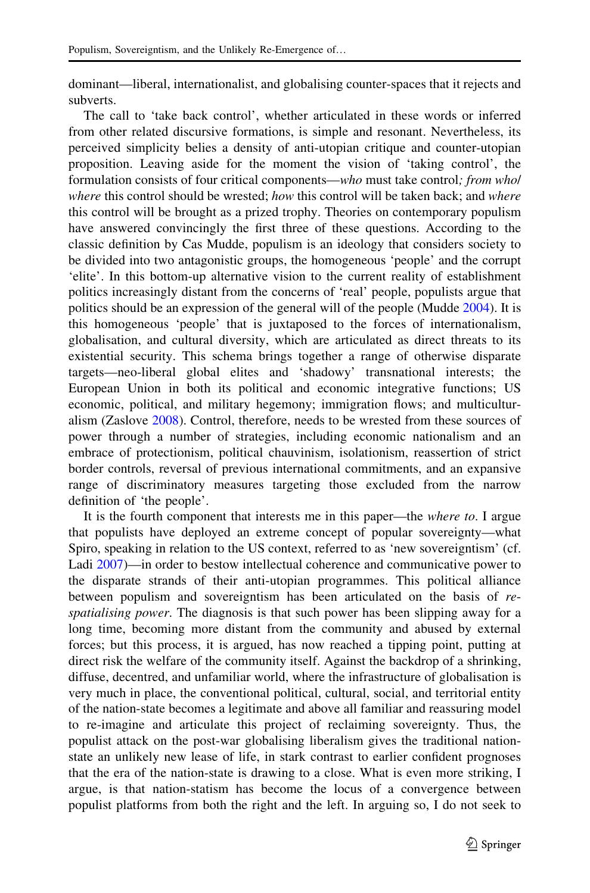dominant—liberal, internationalist, and globalising counter-spaces that it rejects and subverts.

The call to 'take back control', whether articulated in these words or inferred from other related discursive formations, is simple and resonant. Nevertheless, its perceived simplicity belies a density of anti-utopian critique and counter-utopian proposition. Leaving aside for the moment the vision of 'taking control', the formulation consists of four critical components—who must take control; from who/ where this control should be wrested; how this control will be taken back; and where this control will be brought as a prized trophy. Theories on contemporary populism have answered convincingly the first three of these questions. According to the classic definition by Cas Mudde, populism is an ideology that considers society to be divided into two antagonistic groups, the homogeneous 'people' and the corrupt 'elite'. In this bottom-up alternative vision to the current reality of establishment politics increasingly distant from the concerns of 'real' people, populists argue that politics should be an expression of the general will of the people (Mudde [2004\)](#page-16-0). It is this homogeneous 'people' that is juxtaposed to the forces of internationalism, globalisation, and cultural diversity, which are articulated as direct threats to its existential security. This schema brings together a range of otherwise disparate targets—neo-liberal global elites and 'shadowy' transnational interests; the European Union in both its political and economic integrative functions; US economic, political, and military hegemony; immigration flows; and multiculturalism (Zaslove [2008](#page-17-0)). Control, therefore, needs to be wrested from these sources of power through a number of strategies, including economic nationalism and an embrace of protectionism, political chauvinism, isolationism, reassertion of strict border controls, reversal of previous international commitments, and an expansive range of discriminatory measures targeting those excluded from the narrow definition of 'the people'.

It is the fourth component that interests me in this paper—the where to. I argue that populists have deployed an extreme concept of popular sovereignty—what Spiro, speaking in relation to the US context, referred to as 'new sovereigntism' (cf. Ladi [2007](#page-16-0))—in order to bestow intellectual coherence and communicative power to the disparate strands of their anti-utopian programmes. This political alliance between populism and sovereigntism has been articulated on the basis of respatialising power. The diagnosis is that such power has been slipping away for a long time, becoming more distant from the community and abused by external forces; but this process, it is argued, has now reached a tipping point, putting at direct risk the welfare of the community itself. Against the backdrop of a shrinking, diffuse, decentred, and unfamiliar world, where the infrastructure of globalisation is very much in place, the conventional political, cultural, social, and territorial entity of the nation-state becomes a legitimate and above all familiar and reassuring model to re-imagine and articulate this project of reclaiming sovereignty. Thus, the populist attack on the post-war globalising liberalism gives the traditional nationstate an unlikely new lease of life, in stark contrast to earlier confident prognoses that the era of the nation-state is drawing to a close. What is even more striking, I argue, is that nation-statism has become the locus of a convergence between populist platforms from both the right and the left. In arguing so, I do not seek to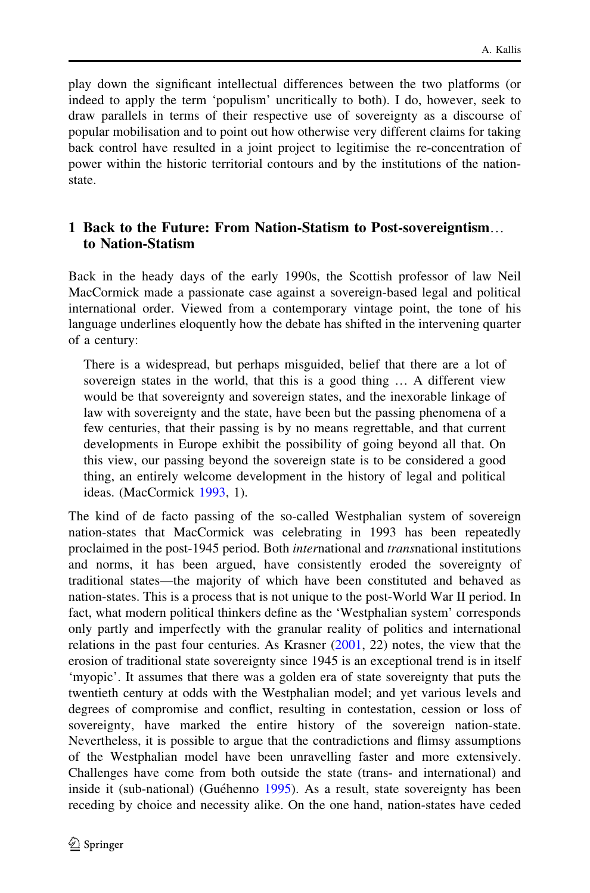play down the significant intellectual differences between the two platforms (or indeed to apply the term 'populism' uncritically to both). I do, however, seek to draw parallels in terms of their respective use of sovereignty as a discourse of popular mobilisation and to point out how otherwise very different claims for taking back control have resulted in a joint project to legitimise the re-concentration of power within the historic territorial contours and by the institutions of the nationstate.

## 1 Back to the Future: From Nation-Statism to Post-sovereigntism… to Nation-Statism

Back in the heady days of the early 1990s, the Scottish professor of law Neil MacCormick made a passionate case against a sovereign-based legal and political international order. Viewed from a contemporary vintage point, the tone of his language underlines eloquently how the debate has shifted in the intervening quarter of a century:

There is a widespread, but perhaps misguided, belief that there are a lot of sovereign states in the world, that this is a good thing … A different view would be that sovereignty and sovereign states, and the inexorable linkage of law with sovereignty and the state, have been but the passing phenomena of a few centuries, that their passing is by no means regrettable, and that current developments in Europe exhibit the possibility of going beyond all that. On this view, our passing beyond the sovereign state is to be considered a good thing, an entirely welcome development in the history of legal and political ideas. (MacCormick [1993](#page-16-0), 1).

The kind of de facto passing of the so-called Westphalian system of sovereign nation-states that MacCormick was celebrating in 1993 has been repeatedly proclaimed in the post-1945 period. Both international and transnational institutions and norms, it has been argued, have consistently eroded the sovereignty of traditional states—the majority of which have been constituted and behaved as nation-states. This is a process that is not unique to the post-World War II period. In fact, what modern political thinkers define as the 'Westphalian system' corresponds only partly and imperfectly with the granular reality of politics and international relations in the past four centuries. As Krasner ([2001,](#page-16-0) 22) notes, the view that the erosion of traditional state sovereignty since 1945 is an exceptional trend is in itself 'myopic'. It assumes that there was a golden era of state sovereignty that puts the twentieth century at odds with the Westphalian model; and yet various levels and degrees of compromise and conflict, resulting in contestation, cession or loss of sovereignty, have marked the entire history of the sovereign nation-state. Nevertheless, it is possible to argue that the contradictions and flimsy assumptions of the Westphalian model have been unravelling faster and more extensively. Challenges have come from both outside the state (trans- and international) and inside it (sub-national) (Guéhenno [1995](#page-15-0)). As a result, state sovereignty has been receding by choice and necessity alike. On the one hand, nation-states have ceded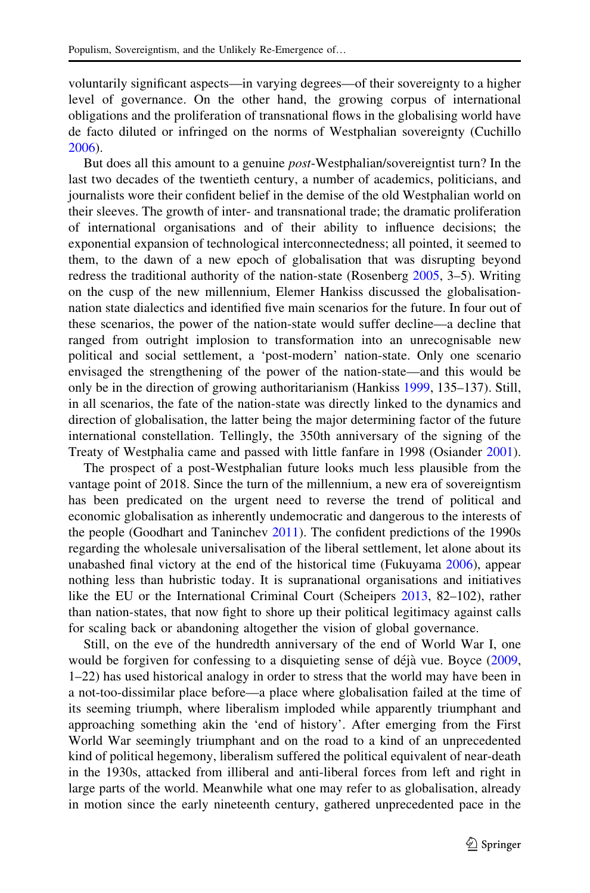voluntarily significant aspects—in varying degrees—of their sovereignty to a higher level of governance. On the other hand, the growing corpus of international obligations and the proliferation of transnational flows in the globalising world have de facto diluted or infringed on the norms of Westphalian sovereignty (Cuchillo [2006\)](#page-15-0).

But does all this amount to a genuine post-Westphalian/sovereigntist turn? In the last two decades of the twentieth century, a number of academics, politicians, and journalists wore their confident belief in the demise of the old Westphalian world on their sleeves. The growth of inter- and transnational trade; the dramatic proliferation of international organisations and of their ability to influence decisions; the exponential expansion of technological interconnectedness; all pointed, it seemed to them, to the dawn of a new epoch of globalisation that was disrupting beyond redress the traditional authority of the nation-state (Rosenberg [2005,](#page-17-0) 3–5). Writing on the cusp of the new millennium, Elemer Hankiss discussed the globalisationnation state dialectics and identified five main scenarios for the future. In four out of these scenarios, the power of the nation-state would suffer decline—a decline that ranged from outright implosion to transformation into an unrecognisable new political and social settlement, a 'post-modern' nation-state. Only one scenario envisaged the strengthening of the power of the nation-state—and this would be only be in the direction of growing authoritarianism (Hankiss [1999,](#page-15-0) 135–137). Still, in all scenarios, the fate of the nation-state was directly linked to the dynamics and direction of globalisation, the latter being the major determining factor of the future international constellation. Tellingly, the 350th anniversary of the signing of the Treaty of Westphalia came and passed with little fanfare in 1998 (Osiander [2001\)](#page-16-0).

The prospect of a post-Westphalian future looks much less plausible from the vantage point of 2018. Since the turn of the millennium, a new era of sovereigntism has been predicated on the urgent need to reverse the trend of political and economic globalisation as inherently undemocratic and dangerous to the interests of the people (Goodhart and Taninchev [2011\)](#page-15-0). The confident predictions of the 1990s regarding the wholesale universalisation of the liberal settlement, let alone about its unabashed final victory at the end of the historical time (Fukuyama [2006](#page-15-0)), appear nothing less than hubristic today. It is supranational organisations and initiatives like the EU or the International Criminal Court (Scheipers [2013,](#page-17-0) 82–102), rather than nation-states, that now fight to shore up their political legitimacy against calls for scaling back or abandoning altogether the vision of global governance.

Still, on the eve of the hundredth anniversary of the end of World War I, one would be forgiven for confessing to a disquieting sense of déjà vue. Boyce ([2009,](#page-15-0) 1–22) has used historical analogy in order to stress that the world may have been in a not-too-dissimilar place before—a place where globalisation failed at the time of its seeming triumph, where liberalism imploded while apparently triumphant and approaching something akin the 'end of history'. After emerging from the First World War seemingly triumphant and on the road to a kind of an unprecedented kind of political hegemony, liberalism suffered the political equivalent of near-death in the 1930s, attacked from illiberal and anti-liberal forces from left and right in large parts of the world. Meanwhile what one may refer to as globalisation, already in motion since the early nineteenth century, gathered unprecedented pace in the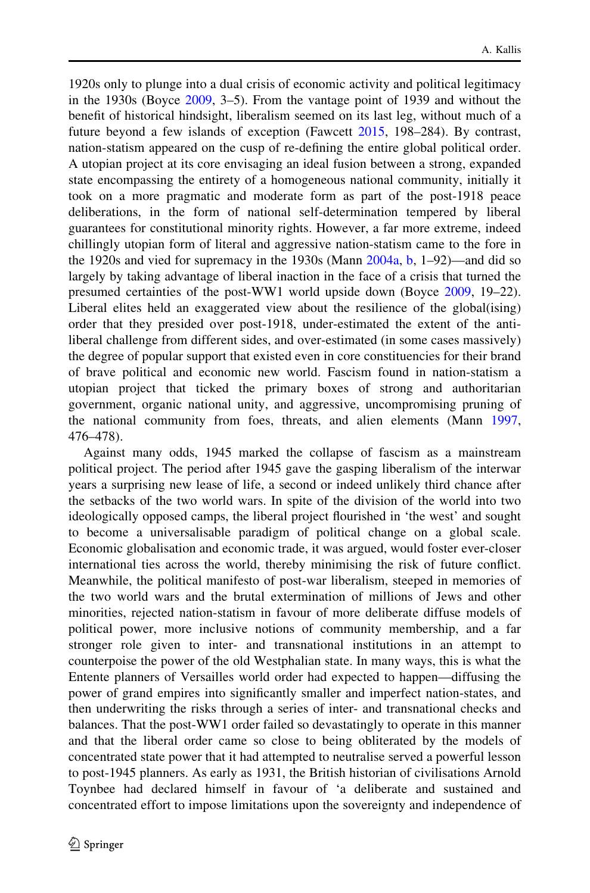1920s only to plunge into a dual crisis of economic activity and political legitimacy in the 1930s (Boyce [2009](#page-15-0), 3–5). From the vantage point of 1939 and without the benefit of historical hindsight, liberalism seemed on its last leg, without much of a future beyond a few islands of exception (Fawcett [2015,](#page-15-0) 198–284). By contrast, nation-statism appeared on the cusp of re-defining the entire global political order. A utopian project at its core envisaging an ideal fusion between a strong, expanded state encompassing the entirety of a homogeneous national community, initially it took on a more pragmatic and moderate form as part of the post-1918 peace deliberations, in the form of national self-determination tempered by liberal guarantees for constitutional minority rights. However, a far more extreme, indeed chillingly utopian form of literal and aggressive nation-statism came to the fore in the 1920s and vied for supremacy in the 1930s (Mann [2004a,](#page-16-0) [b,](#page-16-0) 1–92)—and did so largely by taking advantage of liberal inaction in the face of a crisis that turned the presumed certainties of the post-WW1 world upside down (Boyce [2009](#page-15-0), 19–22). Liberal elites held an exaggerated view about the resilience of the global(ising) order that they presided over post-1918, under-estimated the extent of the antiliberal challenge from different sides, and over-estimated (in some cases massively) the degree of popular support that existed even in core constituencies for their brand of brave political and economic new world. Fascism found in nation-statism a utopian project that ticked the primary boxes of strong and authoritarian government, organic national unity, and aggressive, uncompromising pruning of the national community from foes, threats, and alien elements (Mann [1997,](#page-16-0) 476–478).

Against many odds, 1945 marked the collapse of fascism as a mainstream political project. The period after 1945 gave the gasping liberalism of the interwar years a surprising new lease of life, a second or indeed unlikely third chance after the setbacks of the two world wars. In spite of the division of the world into two ideologically opposed camps, the liberal project flourished in 'the west' and sought to become a universalisable paradigm of political change on a global scale. Economic globalisation and economic trade, it was argued, would foster ever-closer international ties across the world, thereby minimising the risk of future conflict. Meanwhile, the political manifesto of post-war liberalism, steeped in memories of the two world wars and the brutal extermination of millions of Jews and other minorities, rejected nation-statism in favour of more deliberate diffuse models of political power, more inclusive notions of community membership, and a far stronger role given to inter- and transnational institutions in an attempt to counterpoise the power of the old Westphalian state. In many ways, this is what the Entente planners of Versailles world order had expected to happen—diffusing the power of grand empires into significantly smaller and imperfect nation-states, and then underwriting the risks through a series of inter- and transnational checks and balances. That the post-WW1 order failed so devastatingly to operate in this manner and that the liberal order came so close to being obliterated by the models of concentrated state power that it had attempted to neutralise served a powerful lesson to post-1945 planners. As early as 1931, the British historian of civilisations Arnold Toynbee had declared himself in favour of 'a deliberate and sustained and concentrated effort to impose limitations upon the sovereignty and independence of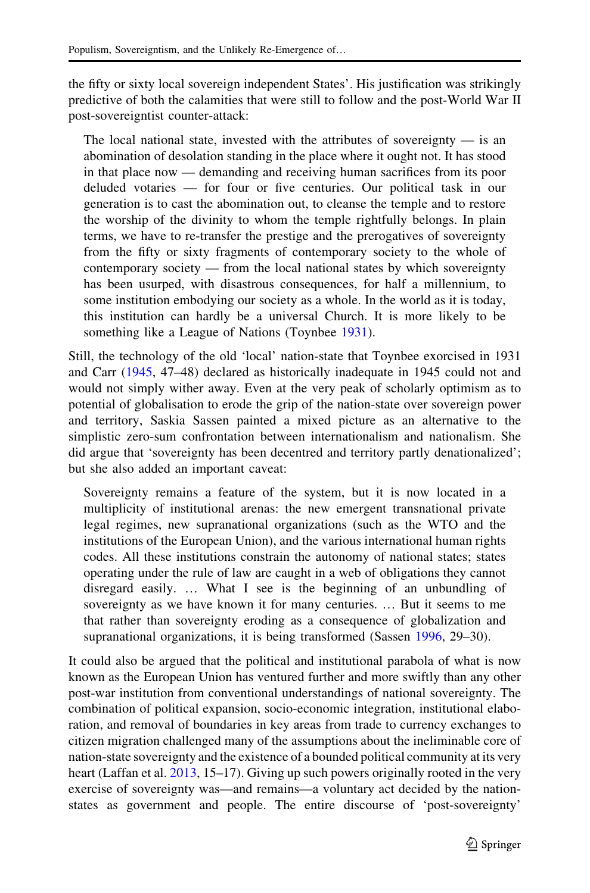the fifty or sixty local sovereign independent States'. His justification was strikingly predictive of both the calamities that were still to follow and the post-World War II post-sovereigntist counter-attack:

The local national state, invested with the attributes of sovereignty  $-$  is an abomination of desolation standing in the place where it ought not. It has stood in that place now — demanding and receiving human sacrifices from its poor deluded votaries — for four or five centuries. Our political task in our generation is to cast the abomination out, to cleanse the temple and to restore the worship of the divinity to whom the temple rightfully belongs. In plain terms, we have to re-transfer the prestige and the prerogatives of sovereignty from the fifty or sixty fragments of contemporary society to the whole of contemporary society — from the local national states by which sovereignty has been usurped, with disastrous consequences, for half a millennium, to some institution embodying our society as a whole. In the world as it is today, this institution can hardly be a universal Church. It is more likely to be something like a League of Nations (Toynbee [1931](#page-17-0)).

Still, the technology of the old 'local' nation-state that Toynbee exorcised in 1931 and Carr ([1945,](#page-15-0) 47–48) declared as historically inadequate in 1945 could not and would not simply wither away. Even at the very peak of scholarly optimism as to potential of globalisation to erode the grip of the nation-state over sovereign power and territory, Saskia Sassen painted a mixed picture as an alternative to the simplistic zero-sum confrontation between internationalism and nationalism. She did argue that 'sovereignty has been decentred and territory partly denationalized'; but she also added an important caveat:

Sovereignty remains a feature of the system, but it is now located in a multiplicity of institutional arenas: the new emergent transnational private legal regimes, new supranational organizations (such as the WTO and the institutions of the European Union), and the various international human rights codes. All these institutions constrain the autonomy of national states; states operating under the rule of law are caught in a web of obligations they cannot disregard easily. … What I see is the beginning of an unbundling of sovereignty as we have known it for many centuries. … But it seems to me that rather than sovereignty eroding as a consequence of globalization and supranational organizations, it is being transformed (Sassen [1996](#page-17-0), 29–30).

It could also be argued that the political and institutional parabola of what is now known as the European Union has ventured further and more swiftly than any other post-war institution from conventional understandings of national sovereignty. The combination of political expansion, socio-economic integration, institutional elaboration, and removal of boundaries in key areas from trade to currency exchanges to citizen migration challenged many of the assumptions about the ineliminable core of nation-state sovereignty and the existence of a bounded political community at its very heart (Laffan et al. [2013,](#page-16-0) 15–17). Giving up such powers originally rooted in the very exercise of sovereignty was—and remains—a voluntary act decided by the nationstates as government and people. The entire discourse of 'post-sovereignty'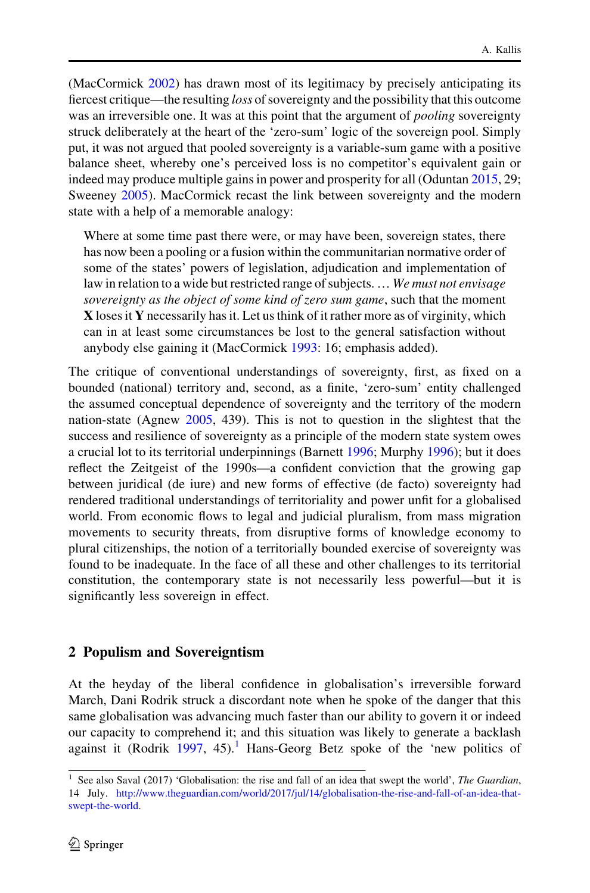(MacCormick [2002\)](#page-16-0) has drawn most of its legitimacy by precisely anticipating its fiercest critique—the resulting loss of sovereignty and the possibility that this outcome was an irreversible one. It was at this point that the argument of *pooling* sovereignty struck deliberately at the heart of the 'zero-sum' logic of the sovereign pool. Simply put, it was not argued that pooled sovereignty is a variable-sum game with a positive balance sheet, whereby one's perceived loss is no competitor's equivalent gain or indeed may produce multiple gains in power and prosperity for all (Oduntan [2015](#page-16-0), 29; Sweeney [2005](#page-17-0)). MacCormick recast the link between sovereignty and the modern state with a help of a memorable analogy:

Where at some time past there were, or may have been, sovereign states, there has now been a pooling or a fusion within the communitarian normative order of some of the states' powers of legislation, adjudication and implementation of law in relation to a wide but restricted range of subjects. … We must not envisage sovereignty as the object of some kind of zero sum game, such that the moment X loses it Y necessarily has it. Let us think of it rather more as of virginity, which can in at least some circumstances be lost to the general satisfaction without anybody else gaining it (MacCormick [1993:](#page-16-0) 16; emphasis added).

The critique of conventional understandings of sovereignty, first, as fixed on a bounded (national) territory and, second, as a finite, 'zero-sum' entity challenged the assumed conceptual dependence of sovereignty and the territory of the modern nation-state (Agnew [2005](#page-14-0), 439). This is not to question in the slightest that the success and resilience of sovereignty as a principle of the modern state system owes a crucial lot to its territorial underpinnings (Barnett [1996](#page-15-0); Murphy [1996](#page-16-0)); but it does reflect the Zeitgeist of the 1990s—a confident conviction that the growing gap between juridical (de iure) and new forms of effective (de facto) sovereignty had rendered traditional understandings of territoriality and power unfit for a globalised world. From economic flows to legal and judicial pluralism, from mass migration movements to security threats, from disruptive forms of knowledge economy to plural citizenships, the notion of a territorially bounded exercise of sovereignty was found to be inadequate. In the face of all these and other challenges to its territorial constitution, the contemporary state is not necessarily less powerful—but it is significantly less sovereign in effect.

## 2 Populism and Sovereigntism

At the heyday of the liberal confidence in globalisation's irreversible forward March, Dani Rodrik struck a discordant note when he spoke of the danger that this same globalisation was advancing much faster than our ability to govern it or indeed our capacity to comprehend it; and this situation was likely to generate a backlash against it (Rodrik  $1997, 45$  $1997, 45$ ).<sup>1</sup> Hans-Georg Betz spoke of the 'new politics of

<sup>&</sup>lt;sup>1</sup> See also Saval (2017) 'Globalisation: the rise and fall of an idea that swept the world', The Guardian, 14 July. [http://www.theguardian.com/world/2017/jul/14/globalisation-the-rise-and-fall-of-an-idea-that](http://www.theguardian.com/world/2017/jul/14/globalisation-the-rise-and-fall-of-an-idea-that-swept-the-world)[swept-the-world](http://www.theguardian.com/world/2017/jul/14/globalisation-the-rise-and-fall-of-an-idea-that-swept-the-world).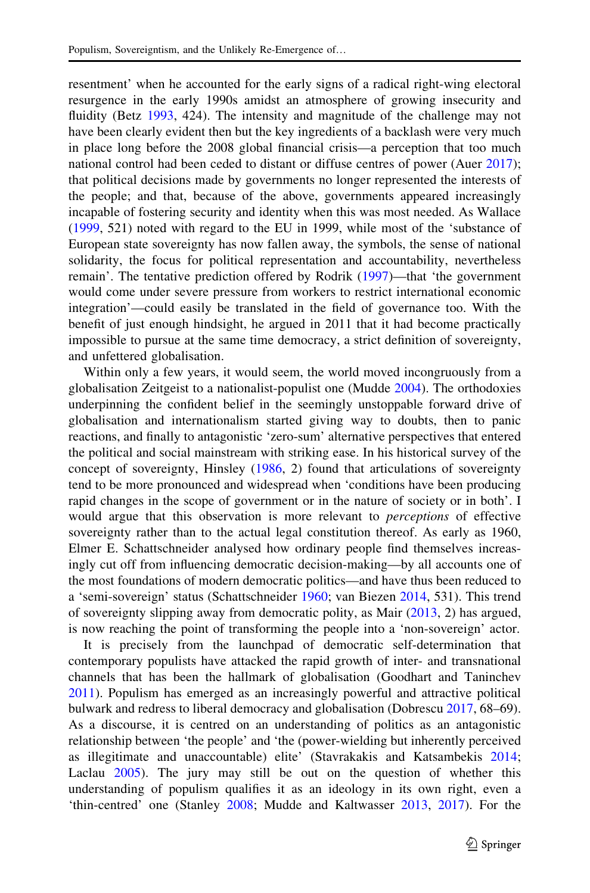resentment' when he accounted for the early signs of a radical right-wing electoral resurgence in the early 1990s amidst an atmosphere of growing insecurity and fluidity (Betz [1993,](#page-15-0) 424). The intensity and magnitude of the challenge may not have been clearly evident then but the key ingredients of a backlash were very much in place long before the 2008 global financial crisis—a perception that too much national control had been ceded to distant or diffuse centres of power (Auer [2017](#page-15-0)); that political decisions made by governments no longer represented the interests of the people; and that, because of the above, governments appeared increasingly incapable of fostering security and identity when this was most needed. As Wallace [\(1999](#page-17-0), 521) noted with regard to the EU in 1999, while most of the 'substance of European state sovereignty has now fallen away, the symbols, the sense of national solidarity, the focus for political representation and accountability, nevertheless remain'. The tentative prediction offered by Rodrik ([1997\)](#page-17-0)—that 'the government would come under severe pressure from workers to restrict international economic integration'—could easily be translated in the field of governance too. With the benefit of just enough hindsight, he argued in 2011 that it had become practically impossible to pursue at the same time democracy, a strict definition of sovereignty, and unfettered globalisation.

Within only a few years, it would seem, the world moved incongruously from a globalisation Zeitgeist to a nationalist-populist one (Mudde [2004\)](#page-16-0). The orthodoxies underpinning the confident belief in the seemingly unstoppable forward drive of globalisation and internationalism started giving way to doubts, then to panic reactions, and finally to antagonistic 'zero-sum' alternative perspectives that entered the political and social mainstream with striking ease. In his historical survey of the concept of sovereignty, Hinsley [\(1986](#page-15-0), 2) found that articulations of sovereignty tend to be more pronounced and widespread when 'conditions have been producing rapid changes in the scope of government or in the nature of society or in both'. I would argue that this observation is more relevant to perceptions of effective sovereignty rather than to the actual legal constitution thereof. As early as 1960, Elmer E. Schattschneider analysed how ordinary people find themselves increasingly cut off from influencing democratic decision-making—by all accounts one of the most foundations of modern democratic politics—and have thus been reduced to a 'semi-sovereign' status (Schattschneider [1960](#page-17-0); van Biezen [2014](#page-17-0), 531). This trend of sovereignty slipping away from democratic polity, as Mair ([2013,](#page-16-0) 2) has argued, is now reaching the point of transforming the people into a 'non-sovereign' actor.

It is precisely from the launchpad of democratic self-determination that contemporary populists have attacked the rapid growth of inter- and transnational channels that has been the hallmark of globalisation (Goodhart and Taninchev [2011\)](#page-15-0). Populism has emerged as an increasingly powerful and attractive political bulwark and redress to liberal democracy and globalisation (Dobrescu [2017,](#page-15-0) 68–69). As a discourse, it is centred on an understanding of politics as an antagonistic relationship between 'the people' and 'the (power-wielding but inherently perceived as illegitimate and unaccountable) elite' (Stavrakakis and Katsambekis [2014;](#page-17-0) Laclau [2005\)](#page-16-0). The jury may still be out on the question of whether this understanding of populism qualifies it as an ideology in its own right, even a 'thin-centred' one (Stanley [2008;](#page-17-0) Mudde and Kaltwasser [2013,](#page-16-0) [2017](#page-16-0)). For the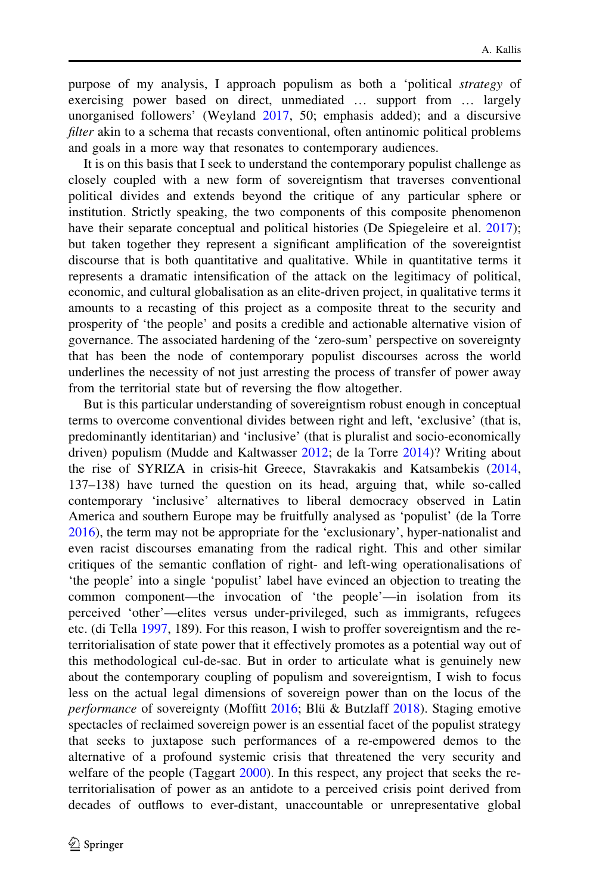purpose of my analysis, I approach populism as both a 'political strategy of exercising power based on direct, unmediated … support from … largely unorganised followers' (Weyland [2017,](#page-17-0) 50; emphasis added); and a discursive filter akin to a schema that recasts conventional, often antinomic political problems and goals in a more way that resonates to contemporary audiences.

It is on this basis that I seek to understand the contemporary populist challenge as closely coupled with a new form of sovereigntism that traverses conventional political divides and extends beyond the critique of any particular sphere or institution. Strictly speaking, the two components of this composite phenomenon have their separate conceptual and political histories (De Spiegeleire et al. [2017](#page-15-0)); but taken together they represent a significant amplification of the sovereigntist discourse that is both quantitative and qualitative. While in quantitative terms it represents a dramatic intensification of the attack on the legitimacy of political, economic, and cultural globalisation as an elite-driven project, in qualitative terms it amounts to a recasting of this project as a composite threat to the security and prosperity of 'the people' and posits a credible and actionable alternative vision of governance. The associated hardening of the 'zero-sum' perspective on sovereignty that has been the node of contemporary populist discourses across the world underlines the necessity of not just arresting the process of transfer of power away from the territorial state but of reversing the flow altogether.

But is this particular understanding of sovereigntism robust enough in conceptual terms to overcome conventional divides between right and left, 'exclusive' (that is, predominantly identitarian) and 'inclusive' (that is pluralist and socio-economically driven) populism (Mudde and Kaltwasser [2012;](#page-16-0) de la Torre [2014](#page-15-0))? Writing about the rise of SYRIZA in crisis-hit Greece, Stavrakakis and Katsambekis ([2014,](#page-17-0) 137–138) have turned the question on its head, arguing that, while so-called contemporary 'inclusive' alternatives to liberal democracy observed in Latin America and southern Europe may be fruitfully analysed as 'populist' (de la Torre [2016\)](#page-15-0), the term may not be appropriate for the 'exclusionary', hyper-nationalist and even racist discourses emanating from the radical right. This and other similar critiques of the semantic conflation of right- and left-wing operationalisations of 'the people' into a single 'populist' label have evinced an objection to treating the common component—the invocation of 'the people'—in isolation from its perceived 'other'—elites versus under-privileged, such as immigrants, refugees etc. (di Tella [1997,](#page-15-0) 189). For this reason, I wish to proffer sovereigntism and the reterritorialisation of state power that it effectively promotes as a potential way out of this methodological cul-de-sac. But in order to articulate what is genuinely new about the contemporary coupling of populism and sovereigntism, I wish to focus less on the actual legal dimensions of sovereign power than on the locus of the *performance* of sovereignty (Moffitt [2016;](#page-16-0) Blü & Butzlaff  $2018$ ). Staging emotive spectacles of reclaimed sovereign power is an essential facet of the populist strategy that seeks to juxtapose such performances of a re-empowered demos to the alternative of a profound systemic crisis that threatened the very security and welfare of the people (Taggart [2000](#page-17-0)). In this respect, any project that seeks the reterritorialisation of power as an antidote to a perceived crisis point derived from decades of outflows to ever-distant, unaccountable or unrepresentative global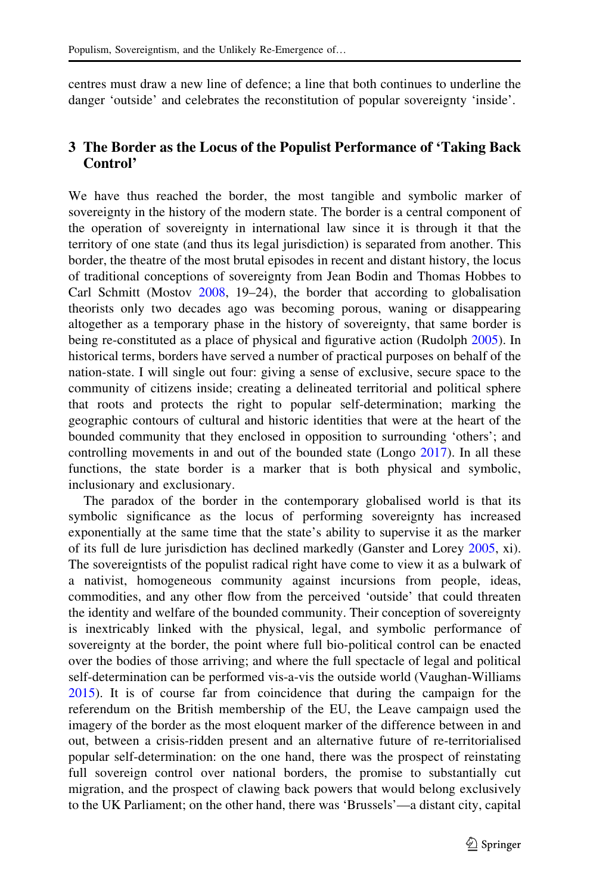centres must draw a new line of defence; a line that both continues to underline the danger 'outside' and celebrates the reconstitution of popular sovereignty 'inside'.

#### 3 The Border as the Locus of the Populist Performance of 'Taking Back Control'

We have thus reached the border, the most tangible and symbolic marker of sovereignty in the history of the modern state. The border is a central component of the operation of sovereignty in international law since it is through it that the territory of one state (and thus its legal jurisdiction) is separated from another. This border, the theatre of the most brutal episodes in recent and distant history, the locus of traditional conceptions of sovereignty from Jean Bodin and Thomas Hobbes to Carl Schmitt (Mostov [2008](#page-16-0), 19–24), the border that according to globalisation theorists only two decades ago was becoming porous, waning or disappearing altogether as a temporary phase in the history of sovereignty, that same border is being re-constituted as a place of physical and figurative action (Rudolph [2005](#page-17-0)). In historical terms, borders have served a number of practical purposes on behalf of the nation-state. I will single out four: giving a sense of exclusive, secure space to the community of citizens inside; creating a delineated territorial and political sphere that roots and protects the right to popular self-determination; marking the geographic contours of cultural and historic identities that were at the heart of the bounded community that they enclosed in opposition to surrounding 'others'; and controlling movements in and out of the bounded state (Longo [2017](#page-16-0)). In all these functions, the state border is a marker that is both physical and symbolic, inclusionary and exclusionary.

The paradox of the border in the contemporary globalised world is that its symbolic significance as the locus of performing sovereignty has increased exponentially at the same time that the state's ability to supervise it as the marker of its full de lure jurisdiction has declined markedly (Ganster and Lorey [2005](#page-15-0), xi). The sovereigntists of the populist radical right have come to view it as a bulwark of a nativist, homogeneous community against incursions from people, ideas, commodities, and any other flow from the perceived 'outside' that could threaten the identity and welfare of the bounded community. Their conception of sovereignty is inextricably linked with the physical, legal, and symbolic performance of sovereignty at the border, the point where full bio-political control can be enacted over the bodies of those arriving; and where the full spectacle of legal and political self-determination can be performed vis-a-vis the outside world (Vaughan-Williams [2015\)](#page-17-0). It is of course far from coincidence that during the campaign for the referendum on the British membership of the EU, the Leave campaign used the imagery of the border as the most eloquent marker of the difference between in and out, between a crisis-ridden present and an alternative future of re-territorialised popular self-determination: on the one hand, there was the prospect of reinstating full sovereign control over national borders, the promise to substantially cut migration, and the prospect of clawing back powers that would belong exclusively to the UK Parliament; on the other hand, there was 'Brussels'—a distant city, capital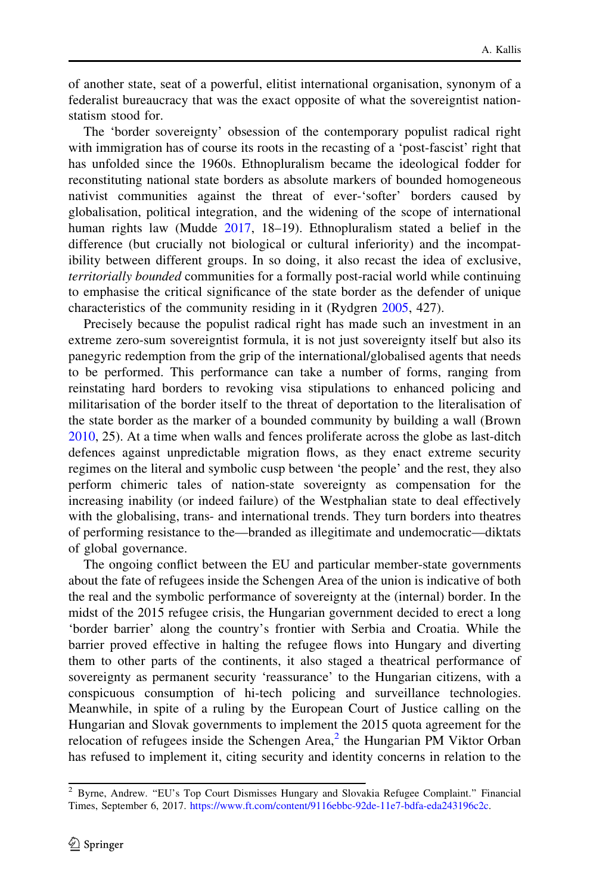of another state, seat of a powerful, elitist international organisation, synonym of a federalist bureaucracy that was the exact opposite of what the sovereigntist nationstatism stood for.

The 'border sovereignty' obsession of the contemporary populist radical right with immigration has of course its roots in the recasting of a 'post-fascist' right that has unfolded since the 1960s. Ethnopluralism became the ideological fodder for reconstituting national state borders as absolute markers of bounded homogeneous nativist communities against the threat of ever-'softer' borders caused by globalisation, political integration, and the widening of the scope of international human rights law (Mudde [2017](#page-16-0), 18–19). Ethnopluralism stated a belief in the difference (but crucially not biological or cultural inferiority) and the incompatibility between different groups. In so doing, it also recast the idea of exclusive, territorially bounded communities for a formally post-racial world while continuing to emphasise the critical significance of the state border as the defender of unique characteristics of the community residing in it (Rydgren [2005,](#page-17-0) 427).

Precisely because the populist radical right has made such an investment in an extreme zero-sum sovereigntist formula, it is not just sovereignty itself but also its panegyric redemption from the grip of the international/globalised agents that needs to be performed. This performance can take a number of forms, ranging from reinstating hard borders to revoking visa stipulations to enhanced policing and militarisation of the border itself to the threat of deportation to the literalisation of the state border as the marker of a bounded community by building a wall (Brown [2010,](#page-15-0) 25). At a time when walls and fences proliferate across the globe as last-ditch defences against unpredictable migration flows, as they enact extreme security regimes on the literal and symbolic cusp between 'the people' and the rest, they also perform chimeric tales of nation-state sovereignty as compensation for the increasing inability (or indeed failure) of the Westphalian state to deal effectively with the globalising, trans- and international trends. They turn borders into theatres of performing resistance to the—branded as illegitimate and undemocratic—diktats of global governance.

The ongoing conflict between the EU and particular member-state governments about the fate of refugees inside the Schengen Area of the union is indicative of both the real and the symbolic performance of sovereignty at the (internal) border. In the midst of the 2015 refugee crisis, the Hungarian government decided to erect a long 'border barrier' along the country's frontier with Serbia and Croatia. While the barrier proved effective in halting the refugee flows into Hungary and diverting them to other parts of the continents, it also staged a theatrical performance of sovereignty as permanent security 'reassurance' to the Hungarian citizens, with a conspicuous consumption of hi-tech policing and surveillance technologies. Meanwhile, in spite of a ruling by the European Court of Justice calling on the Hungarian and Slovak governments to implement the 2015 quota agreement for the relocation of refugees inside the Schengen Area, $<sup>2</sup>$  the Hungarian PM Viktor Orban</sup> has refused to implement it, citing security and identity concerns in relation to the

<sup>&</sup>lt;sup>2</sup> Byrne, Andrew. "EU's Top Court Dismisses Hungary and Slovakia Refugee Complaint." Financial Times, September 6, 2017. <https://www.ft.com/content/9116ebbc-92de-11e7-bdfa-eda243196c2c>.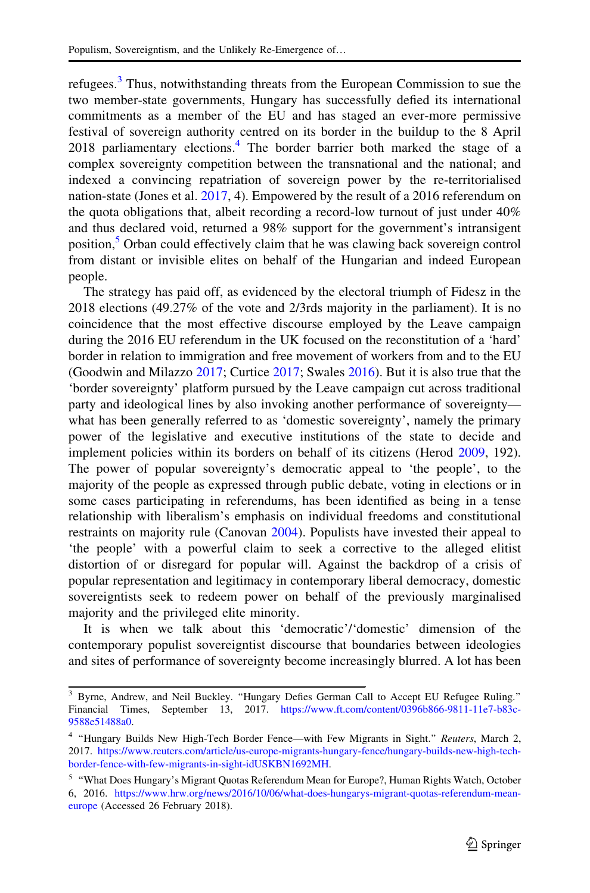refugees.<sup>3</sup> Thus, notwithstanding threats from the European Commission to sue the two member-state governments, Hungary has successfully defied its international commitments as a member of the EU and has staged an ever-more permissive festival of sovereign authority centred on its border in the buildup to the 8 April 2018 parliamentary elections.<sup>4</sup> The border barrier both marked the stage of a complex sovereignty competition between the transnational and the national; and indexed a convincing repatriation of sovereign power by the re-territorialised nation-state (Jones et al. [2017,](#page-16-0) 4). Empowered by the result of a 2016 referendum on the quota obligations that, albeit recording a record-low turnout of just under 40% and thus declared void, returned a 98% support for the government's intransigent position, $\frac{5}{3}$  Orban could effectively claim that he was clawing back sovereign control from distant or invisible elites on behalf of the Hungarian and indeed European people.

The strategy has paid off, as evidenced by the electoral triumph of Fidesz in the 2018 elections (49.27% of the vote and 2/3rds majority in the parliament). It is no coincidence that the most effective discourse employed by the Leave campaign during the 2016 EU referendum in the UK focused on the reconstitution of a 'hard' border in relation to immigration and free movement of workers from and to the EU (Goodwin and Milazzo [2017](#page-15-0); Curtice [2017](#page-15-0); Swales [2016](#page-17-0)). But it is also true that the 'border sovereignty' platform pursued by the Leave campaign cut across traditional party and ideological lines by also invoking another performance of sovereignty what has been generally referred to as 'domestic sovereignty', namely the primary power of the legislative and executive institutions of the state to decide and implement policies within its borders on behalf of its citizens (Herod [2009](#page-15-0), 192). The power of popular sovereignty's democratic appeal to 'the people', to the majority of the people as expressed through public debate, voting in elections or in some cases participating in referendums, has been identified as being in a tense relationship with liberalism's emphasis on individual freedoms and constitutional restraints on majority rule (Canovan [2004](#page-15-0)). Populists have invested their appeal to 'the people' with a powerful claim to seek a corrective to the alleged elitist distortion of or disregard for popular will. Against the backdrop of a crisis of popular representation and legitimacy in contemporary liberal democracy, domestic sovereigntists seek to redeem power on behalf of the previously marginalised majority and the privileged elite minority.

It is when we talk about this 'democratic'/'domestic' dimension of the contemporary populist sovereigntist discourse that boundaries between ideologies and sites of performance of sovereignty become increasingly blurred. A lot has been

<sup>&</sup>lt;sup>3</sup> Byrne, Andrew, and Neil Buckley. "Hungary Defies German Call to Accept EU Refugee Ruling." Financial Times, September 13, 2017. [https://www.ft.com/content/0396b866-9811-11e7-b83c-](https://www.ft.com/content/0396b866-9811-11e7-b83c-9588e51488a0)[9588e51488a0.](https://www.ft.com/content/0396b866-9811-11e7-b83c-9588e51488a0)

<sup>&</sup>lt;sup>4</sup> "Hungary Builds New High-Tech Border Fence—with Few Migrants in Sight." Reuters, March 2, 2017. [https://www.reuters.com/article/us-europe-migrants-hungary-fence/hungary-builds-new-high-tech](https://www.reuters.com/article/us-europe-migrants-hungary-fence/hungary-builds-new-high-tech-border-fence-with-few-migrants-in-sight-idUSKBN1692MH)[border-fence-with-few-migrants-in-sight-idUSKBN1692MH.](https://www.reuters.com/article/us-europe-migrants-hungary-fence/hungary-builds-new-high-tech-border-fence-with-few-migrants-in-sight-idUSKBN1692MH)

<sup>&</sup>lt;sup>5</sup> "What Does Hungary's Migrant Quotas Referendum Mean for Europe?, Human Rights Watch, October 6, 2016. [https://www.hrw.org/news/2016/10/06/what-does-hungarys-migrant-quotas-referendum-mean](https://www.hrw.org/news/2016/10/06/what-does-hungarys-migrant-quotas-referendum-mean-europe)[europe](https://www.hrw.org/news/2016/10/06/what-does-hungarys-migrant-quotas-referendum-mean-europe) (Accessed 26 February 2018).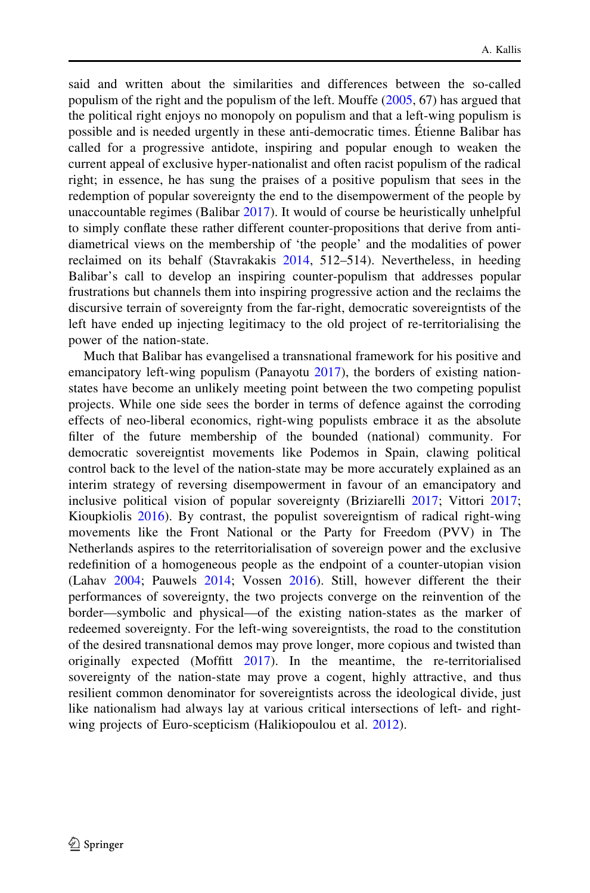said and written about the similarities and differences between the so-called populism of the right and the populism of the left. Mouffe [\(2005](#page-16-0), 67) has argued that the political right enjoys no monopoly on populism and that a left-wing populism is possible and is needed urgently in these anti-democratic times. E´tienne Balibar has called for a progressive antidote, inspiring and popular enough to weaken the current appeal of exclusive hyper-nationalist and often racist populism of the radical right; in essence, he has sung the praises of a positive populism that sees in the redemption of popular sovereignty the end to the disempowerment of the people by unaccountable regimes (Balibar [2017](#page-15-0)). It would of course be heuristically unhelpful to simply conflate these rather different counter-propositions that derive from antidiametrical views on the membership of 'the people' and the modalities of power reclaimed on its behalf (Stavrakakis [2014,](#page-17-0) 512–514). Nevertheless, in heeding Balibar's call to develop an inspiring counter-populism that addresses popular frustrations but channels them into inspiring progressive action and the reclaims the discursive terrain of sovereignty from the far-right, democratic sovereigntists of the left have ended up injecting legitimacy to the old project of re-territorialising the power of the nation-state.

Much that Balibar has evangelised a transnational framework for his positive and emancipatory left-wing populism (Panayotu [2017](#page-16-0)), the borders of existing nationstates have become an unlikely meeting point between the two competing populist projects. While one side sees the border in terms of defence against the corroding effects of neo-liberal economics, right-wing populists embrace it as the absolute filter of the future membership of the bounded (national) community. For democratic sovereigntist movements like Podemos in Spain, clawing political control back to the level of the nation-state may be more accurately explained as an interim strategy of reversing disempowerment in favour of an emancipatory and inclusive political vision of popular sovereignty (Briziarelli [2017;](#page-15-0) Vittori [2017;](#page-17-0) Kioupkiolis [2016\)](#page-16-0). By contrast, the populist sovereigntism of radical right-wing movements like the Front National or the Party for Freedom (PVV) in The Netherlands aspires to the reterritorialisation of sovereign power and the exclusive redefinition of a homogeneous people as the endpoint of a counter-utopian vision (Lahav [2004;](#page-16-0) Pauwels [2014](#page-17-0); Vossen [2016\)](#page-17-0). Still, however different the their performances of sovereignty, the two projects converge on the reinvention of the border—symbolic and physical—of the existing nation-states as the marker of redeemed sovereignty. For the left-wing sovereigntists, the road to the constitution of the desired transnational demos may prove longer, more copious and twisted than originally expected (Moffitt [2017\)](#page-16-0). In the meantime, the re-territorialised sovereignty of the nation-state may prove a cogent, highly attractive, and thus resilient common denominator for sovereigntists across the ideological divide, just like nationalism had always lay at various critical intersections of left- and right-wing projects of Euro-scepticism (Halikiopoulou et al. [2012\)](#page-15-0).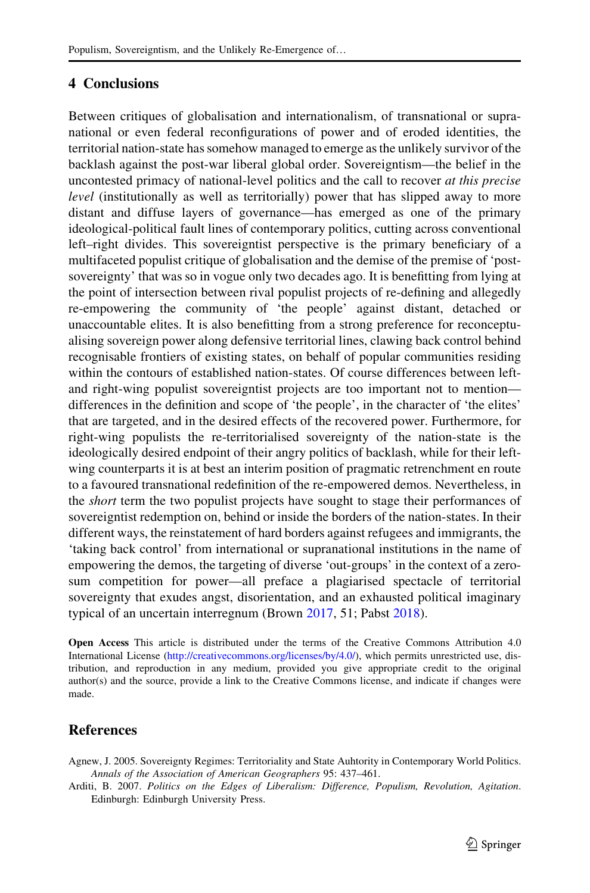#### <span id="page-14-0"></span>4 Conclusions

Between critiques of globalisation and internationalism, of transnational or supranational or even federal reconfigurations of power and of eroded identities, the territorial nation-state has somehow managed to emerge as the unlikely survivor of the backlash against the post-war liberal global order. Sovereigntism—the belief in the uncontested primacy of national-level politics and the call to recover *at this precise* level (institutionally as well as territorially) power that has slipped away to more distant and diffuse layers of governance—has emerged as one of the primary ideological-political fault lines of contemporary politics, cutting across conventional left–right divides. This sovereigntist perspective is the primary beneficiary of a multifaceted populist critique of globalisation and the demise of the premise of 'postsovereignty' that was so in vogue only two decades ago. It is benefitting from lying at the point of intersection between rival populist projects of re-defining and allegedly re-empowering the community of 'the people' against distant, detached or unaccountable elites. It is also benefitting from a strong preference for reconceptualising sovereign power along defensive territorial lines, clawing back control behind recognisable frontiers of existing states, on behalf of popular communities residing within the contours of established nation-states. Of course differences between leftand right-wing populist sovereigntist projects are too important not to mention differences in the definition and scope of 'the people', in the character of 'the elites' that are targeted, and in the desired effects of the recovered power. Furthermore, for right-wing populists the re-territorialised sovereignty of the nation-state is the ideologically desired endpoint of their angry politics of backlash, while for their leftwing counterparts it is at best an interim position of pragmatic retrenchment en route to a favoured transnational redefinition of the re-empowered demos. Nevertheless, in the *short* term the two populist projects have sought to stage their performances of sovereigntist redemption on, behind or inside the borders of the nation-states. In their different ways, the reinstatement of hard borders against refugees and immigrants, the 'taking back control' from international or supranational institutions in the name of empowering the demos, the targeting of diverse 'out-groups' in the context of a zerosum competition for power—all preface a plagiarised spectacle of territorial sovereignty that exudes angst, disorientation, and an exhausted political imaginary typical of an uncertain interregnum (Brown [2017](#page-15-0), 51; Pabst [2018](#page-16-0)).

Open Access This article is distributed under the terms of the Creative Commons Attribution 4.0 International License ([http://creativecommons.org/licenses/by/4.0/\)](http://creativecommons.org/licenses/by/4.0/), which permits unrestricted use, distribution, and reproduction in any medium, provided you give appropriate credit to the original author(s) and the source, provide a link to the Creative Commons license, and indicate if changes were made.

## References

Agnew, J. 2005. Sovereignty Regimes: Territoriality and State Auhtority in Contemporary World Politics. Annals of the Association of American Geographers 95: 437–461.

Arditi, B. 2007. Politics on the Edges of Liberalism: Difference, Populism, Revolution, Agitation. Edinburgh: Edinburgh University Press.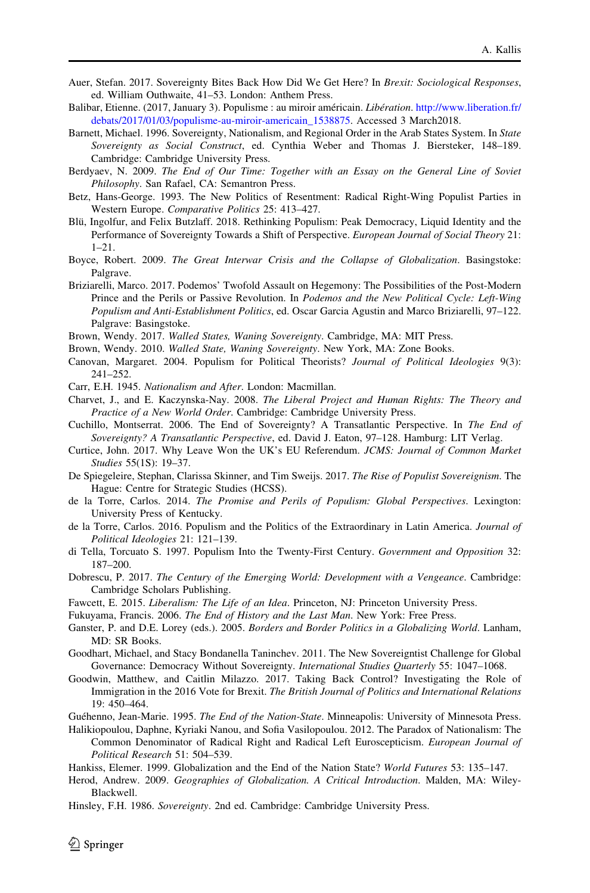- <span id="page-15-0"></span>Auer, Stefan. 2017. Sovereignty Bites Back How Did We Get Here? In Brexit: Sociological Responses, ed. William Outhwaite, 41–53. London: Anthem Press.
- Balibar, Etienne. (2017, January 3). Populisme : au miroir américain. Libération. [http://www.liberation.fr/](http://www.liberation.fr/debats/2017/01/03/populisme-au-miroir-americain_1538875) [debats/2017/01/03/populisme-au-miroir-americain\\_1538875](http://www.liberation.fr/debats/2017/01/03/populisme-au-miroir-americain_1538875). Accessed 3 March2018.
- Barnett, Michael. 1996. Sovereignty, Nationalism, and Regional Order in the Arab States System. In State Sovereignty as Social Construct, ed. Cynthia Weber and Thomas J. Biersteker, 148–189. Cambridge: Cambridge University Press.
- Berdyaev, N. 2009. The End of Our Time: Together with an Essay on the General Line of Soviet Philosophy. San Rafael, CA: Semantron Press.
- Betz, Hans-George. 1993. The New Politics of Resentment: Radical Right-Wing Populist Parties in Western Europe. Comparative Politics 25: 413–427.
- Blü, Ingolfur, and Felix Butzlaff. 2018. Rethinking Populism: Peak Democracy, Liquid Identity and the Performance of Sovereignty Towards a Shift of Perspective. European Journal of Social Theory 21:  $1 - 21$ .
- Boyce, Robert. 2009. The Great Interwar Crisis and the Collapse of Globalization. Basingstoke: Palgrave.
- Briziarelli, Marco. 2017. Podemos' Twofold Assault on Hegemony: The Possibilities of the Post-Modern Prince and the Perils or Passive Revolution. In Podemos and the New Political Cycle: Left-Wing Populism and Anti-Establishment Politics, ed. Oscar Garcia Agustin and Marco Briziarelli, 97–122. Palgrave: Basingstoke.

Brown, Wendy. 2017. Walled States, Waning Sovereignty. Cambridge, MA: MIT Press.

- Brown, Wendy. 2010. Walled State, Waning Sovereignty. New York, MA: Zone Books.
- Canovan, Margaret. 2004. Populism for Political Theorists? Journal of Political Ideologies 9(3): 241–252.
- Carr, E.H. 1945. Nationalism and After. London: Macmillan.
- Charvet, J., and E. Kaczynska-Nay. 2008. The Liberal Project and Human Rights: The Theory and Practice of a New World Order. Cambridge: Cambridge University Press.
- Cuchillo, Montserrat. 2006. The End of Sovereignty? A Transatlantic Perspective. In The End of Sovereignty? A Transatlantic Perspective, ed. David J. Eaton, 97–128. Hamburg: LIT Verlag.
- Curtice, John. 2017. Why Leave Won the UK's EU Referendum. JCMS: Journal of Common Market Studies 55(1S): 19–37.
- De Spiegeleire, Stephan, Clarissa Skinner, and Tim Sweijs. 2017. The Rise of Populist Sovereignism. The Hague: Centre for Strategic Studies (HCSS).
- de la Torre, Carlos. 2014. The Promise and Perils of Populism: Global Perspectives. Lexington: University Press of Kentucky.
- de la Torre, Carlos. 2016. Populism and the Politics of the Extraordinary in Latin America. Journal of Political Ideologies 21: 121–139.
- di Tella, Torcuato S. 1997. Populism Into the Twenty-First Century. Government and Opposition 32: 187–200.
- Dobrescu, P. 2017. The Century of the Emerging World: Development with a Vengeance. Cambridge: Cambridge Scholars Publishing.
- Fawcett, E. 2015. Liberalism: The Life of an Idea. Princeton, NJ: Princeton University Press.
- Fukuyama, Francis. 2006. The End of History and the Last Man. New York: Free Press.
- Ganster, P. and D.E. Lorey (eds.). 2005. Borders and Border Politics in a Globalizing World. Lanham, MD: SR Books.
- Goodhart, Michael, and Stacy Bondanella Taninchev. 2011. The New Sovereigntist Challenge for Global Governance: Democracy Without Sovereignty. International Studies Quarterly 55: 1047-1068.
- Goodwin, Matthew, and Caitlin Milazzo. 2017. Taking Back Control? Investigating the Role of Immigration in the 2016 Vote for Brexit. The British Journal of Politics and International Relations 19: 450–464.
- Guéhenno, Jean-Marie. 1995. The End of the Nation-State. Minneapolis: University of Minnesota Press.
- Halikiopoulou, Daphne, Kyriaki Nanou, and Sofia Vasilopoulou. 2012. The Paradox of Nationalism: The Common Denominator of Radical Right and Radical Left Euroscepticism. European Journal of Political Research 51: 504–539.
- Hankiss, Elemer. 1999. Globalization and the End of the Nation State? World Futures 53: 135–147.
- Herod, Andrew. 2009. Geographies of Globalization. A Critical Introduction. Malden, MA: Wiley-Blackwell.
- Hinsley, F.H. 1986. Sovereignty. 2nd ed. Cambridge: Cambridge University Press.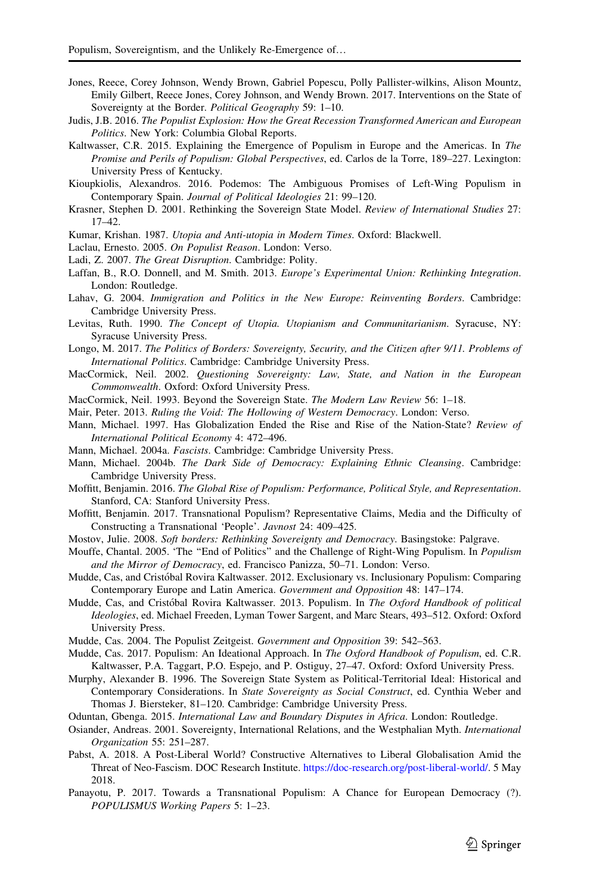- <span id="page-16-0"></span>Jones, Reece, Corey Johnson, Wendy Brown, Gabriel Popescu, Polly Pallister-wilkins, Alison Mountz, Emily Gilbert, Reece Jones, Corey Johnson, and Wendy Brown. 2017. Interventions on the State of Sovereignty at the Border. Political Geography 59: 1–10.
- Judis, J.B. 2016. The Populist Explosion: How the Great Recession Transformed American and European Politics. New York: Columbia Global Reports.
- Kaltwasser, C.R. 2015. Explaining the Emergence of Populism in Europe and the Americas. In The Promise and Perils of Populism: Global Perspectives, ed. Carlos de la Torre, 189–227. Lexington: University Press of Kentucky.
- Kioupkiolis, Alexandros. 2016. Podemos: The Ambiguous Promises of Left-Wing Populism in Contemporary Spain. Journal of Political Ideologies 21: 99–120.
- Krasner, Stephen D. 2001. Rethinking the Sovereign State Model. Review of International Studies 27: 17–42.
- Kumar, Krishan. 1987. Utopia and Anti-utopia in Modern Times. Oxford: Blackwell.
- Laclau, Ernesto. 2005. On Populist Reason. London: Verso.
- Ladi, Z. 2007. The Great Disruption. Cambridge: Polity.
- Laffan, B., R.O. Donnell, and M. Smith. 2013. Europe's Experimental Union: Rethinking Integration. London: Routledge.
- Lahav, G. 2004. Immigration and Politics in the New Europe: Reinventing Borders. Cambridge: Cambridge University Press.
- Levitas, Ruth. 1990. The Concept of Utopia. Utopianism and Communitarianism. Syracuse, NY: Syracuse University Press.
- Longo, M. 2017. The Politics of Borders: Sovereignty, Security, and the Citizen after 9/11. Problems of International Politics. Cambridge: Cambridge University Press.
- MacCormick, Neil. 2002. Questioning Sovereignty: Law, State, and Nation in the European Commonwealth. Oxford: Oxford University Press.
- MacCormick, Neil. 1993. Beyond the Sovereign State. The Modern Law Review 56: 1–18.
- Mair, Peter. 2013. Ruling the Void: The Hollowing of Western Democracy. London: Verso.
- Mann, Michael. 1997. Has Globalization Ended the Rise and Rise of the Nation-State? Review of International Political Economy 4: 472–496.
- Mann, Michael. 2004a. Fascists. Cambridge: Cambridge University Press.
- Mann, Michael. 2004b. The Dark Side of Democracy: Explaining Ethnic Cleansing. Cambridge: Cambridge University Press.
- Moffitt, Benjamin. 2016. The Global Rise of Populism: Performance, Political Style, and Representation. Stanford, CA: Stanford University Press.
- Moffitt, Benjamin. 2017. Transnational Populism? Representative Claims, Media and the Difficulty of Constructing a Transnational 'People'. Javnost 24: 409–425.
- Mostov, Julie. 2008. Soft borders: Rethinking Sovereignty and Democracy. Basingstoke: Palgrave.
- Mouffe, Chantal. 2005. 'The "End of Politics" and the Challenge of Right-Wing Populism. In *Populism* and the Mirror of Democracy, ed. Francisco Panizza, 50–71. London: Verso.
- Mudde, Cas, and Cristo´bal Rovira Kaltwasser. 2012. Exclusionary vs. Inclusionary Populism: Comparing Contemporary Europe and Latin America. Government and Opposition 48: 147–174.
- Mudde, Cas, and Cristóbal Rovira Kaltwasser. 2013. Populism. In The Oxford Handbook of political Ideologies, ed. Michael Freeden, Lyman Tower Sargent, and Marc Stears, 493–512. Oxford: Oxford University Press.
- Mudde, Cas. 2004. The Populist Zeitgeist. Government and Opposition 39: 542–563.
- Mudde, Cas. 2017. Populism: An Ideational Approach. In The Oxford Handbook of Populism, ed. C.R. Kaltwasser, P.A. Taggart, P.O. Espejo, and P. Ostiguy, 27–47. Oxford: Oxford University Press.
- Murphy, Alexander B. 1996. The Sovereign State System as Political-Territorial Ideal: Historical and Contemporary Considerations. In State Sovereignty as Social Construct, ed. Cynthia Weber and Thomas J. Biersteker, 81–120. Cambridge: Cambridge University Press.
- Oduntan, Gbenga. 2015. International Law and Boundary Disputes in Africa. London: Routledge.
- Osiander, Andreas. 2001. Sovereignty, International Relations, and the Westphalian Myth. International Organization 55: 251–287.
- Pabst, A. 2018. A Post-Liberal World? Constructive Alternatives to Liberal Globalisation Amid the Threat of Neo-Fascism. DOC Research Institute. [https://doc-research.org/post-liberal-world/.](https://doc-research.org/post-liberal-world/) 5 May 2018.
- Panayotu, P. 2017. Towards a Transnational Populism: A Chance for European Democracy (?). POPULISMUS Working Papers 5: 1–23.